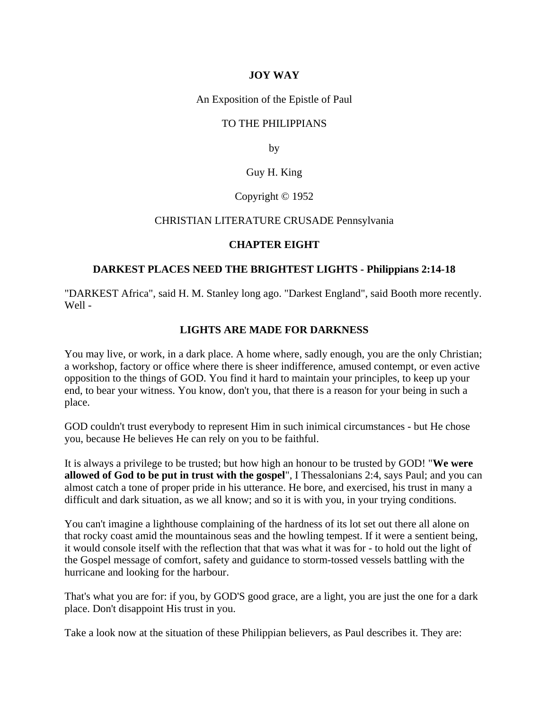### **JOY WAY**

An Exposition of the Epistle of Paul

### TO THE PHILIPPIANS

by

## Guy H. King

### Copyright © 1952

#### CHRISTIAN LITERATURE CRUSADE Pennsylvania

#### **CHAPTER EIGHT**

### **DARKEST PLACES NEED THE BRIGHTEST LIGHTS - Philippians 2:14-18**

"DARKEST Africa", said H. M. Stanley long ago. "Darkest England", said Booth more recently. Well -

### **LIGHTS ARE MADE FOR DARKNESS**

You may live, or work, in a dark place. A home where, sadly enough, you are the only Christian; a workshop, factory or office where there is sheer indifference, amused contempt, or even active opposition to the things of GOD. You find it hard to maintain your principles, to keep up your end, to bear your witness. You know, don't you, that there is a reason for your being in such a place.

GOD couldn't trust everybody to represent Him in such inimical circumstances - but He chose you, because He believes He can rely on you to be faithful.

It is always a privilege to be trusted; but how high an honour to be trusted by GOD! "**We were allowed of God to be put in trust with the gospel**", I Thessalonians 2:4, says Paul; and you can almost catch a tone of proper pride in his utterance. He bore, and exercised, his trust in many a difficult and dark situation, as we all know; and so it is with you, in your trying conditions.

You can't imagine a lighthouse complaining of the hardness of its lot set out there all alone on that rocky coast amid the mountainous seas and the howling tempest. If it were a sentient being, it would console itself with the reflection that that was what it was for - to hold out the light of the Gospel message of comfort, safety and guidance to storm-tossed vessels battling with the hurricane and looking for the harbour.

That's what you are for: if you, by GOD'S good grace, are a light, you are just the one for a dark place. Don't disappoint His trust in you.

Take a look now at the situation of these Philippian believers, as Paul describes it. They are: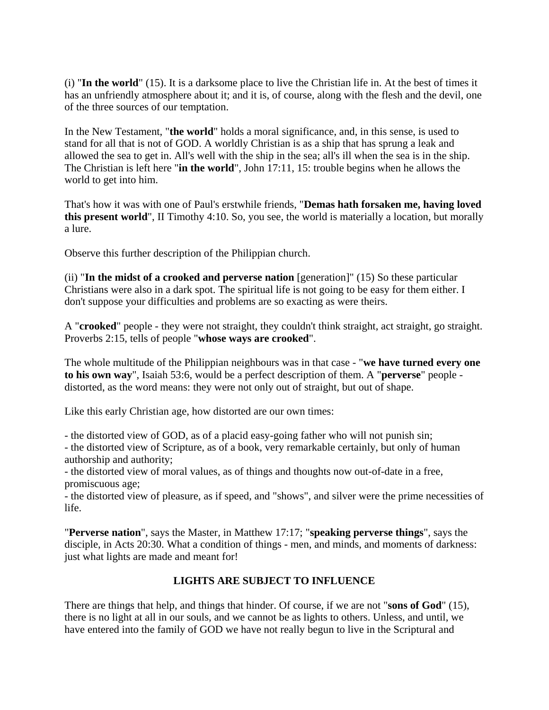(i) "**In the world**" (15). It is a darksome place to live the Christian life in. At the best of times it has an unfriendly atmosphere about it; and it is, of course, along with the flesh and the devil, one of the three sources of our temptation.

In the New Testament, "**the world**" holds a moral significance, and, in this sense, is used to stand for all that is not of GOD. A worldly Christian is as a ship that has sprung a leak and allowed the sea to get in. All's well with the ship in the sea; all's ill when the sea is in the ship. The Christian is left here "**in the world**", John 17:11, 15: trouble begins when he allows the world to get into him.

That's how it was with one of Paul's erstwhile friends, "**Demas hath forsaken me, having loved this present world**", II Timothy 4:10. So, you see, the world is materially a location, but morally a lure.

Observe this further description of the Philippian church.

(ii) "**In the midst of a crooked and perverse nation** [generation]" (15) So these particular Christians were also in a dark spot. The spiritual life is not going to be easy for them either. I don't suppose your difficulties and problems are so exacting as were theirs.

A "**crooked**" people - they were not straight, they couldn't think straight, act straight, go straight. Proverbs 2:15, tells of people "**whose ways are crooked**".

The whole multitude of the Philippian neighbours was in that case - "**we have turned every one to his own way**", Isaiah 53:6, would be a perfect description of them. A "**perverse**" people distorted, as the word means: they were not only out of straight, but out of shape.

Like this early Christian age, how distorted are our own times:

- the distorted view of GOD, as of a placid easy-going father who will not punish sin;

- the distorted view of Scripture, as of a book, very remarkable certainly, but only of human authorship and authority;

- the distorted view of moral values, as of things and thoughts now out-of-date in a free, promiscuous age;

- the distorted view of pleasure, as if speed, and "shows", and silver were the prime necessities of life.

"**Perverse nation**", says the Master, in Matthew 17:17; "**speaking perverse things**", says the disciple, in Acts 20:30. What a condition of things - men, and minds, and moments of darkness: just what lights are made and meant for!

### **LIGHTS ARE SUBJECT TO INFLUENCE**

There are things that help, and things that hinder. Of course, if we are not "**sons of God**" (15), there is no light at all in our souls, and we cannot be as lights to others. Unless, and until, we have entered into the family of GOD we have not really begun to live in the Scriptural and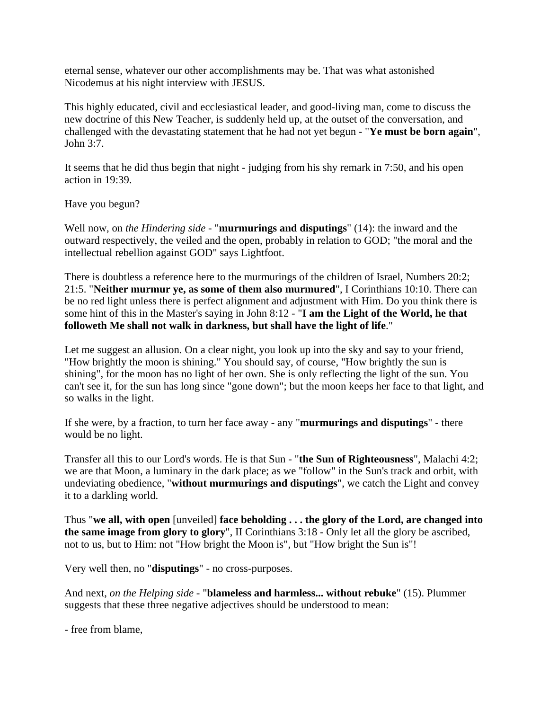eternal sense, whatever our other accomplishments may be. That was what astonished Nicodemus at his night interview with JESUS.

This highly educated, civil and ecclesiastical leader, and good-living man, come to discuss the new doctrine of this New Teacher, is suddenly held up, at the outset of the conversation, and challenged with the devastating statement that he had not yet begun - "**Ye must be born again**", John 3:7.

It seems that he did thus begin that night - judging from his shy remark in 7:50, and his open action in 19:39.

Have you begun?

Well now, on *the Hindering side* - "**murmurings and disputings**" (14): the inward and the outward respectively, the veiled and the open, probably in relation to GOD; "the moral and the intellectual rebellion against GOD" says Lightfoot.

There is doubtless a reference here to the murmurings of the children of Israel, Numbers 20:2; 21:5. "**Neither murmur ye, as some of them also murmured**", I Corinthians 10:10. There can be no red light unless there is perfect alignment and adjustment with Him. Do you think there is some hint of this in the Master's saying in John 8:12 - "**I am the Light of the World, he that followeth Me shall not walk in darkness, but shall have the light of life**."

Let me suggest an allusion. On a clear night, you look up into the sky and say to your friend, "How brightly the moon is shining." You should say, of course, "How brightly the sun is shining", for the moon has no light of her own. She is only reflecting the light of the sun. You can't see it, for the sun has long since "gone down"; but the moon keeps her face to that light, and so walks in the light.

If she were, by a fraction, to turn her face away - any "**murmurings and disputings**" - there would be no light.

Transfer all this to our Lord's words. He is that Sun - "**the Sun of Righteousness**", Malachi 4:2; we are that Moon, a luminary in the dark place; as we "follow" in the Sun's track and orbit, with undeviating obedience, "**without murmurings and disputings**", we catch the Light and convey it to a darkling world.

Thus "**we all, with open** [unveiled] **face beholding . . . the glory of the Lord, are changed into the same image from glory to glory**", II Corinthians 3:18 - Only let all the glory be ascribed, not to us, but to Him: not "How bright the Moon is", but "How bright the Sun is"!

Very well then, no "**disputings**" - no cross-purposes.

And next, *on the Helping side* - "**blameless and harmless... without rebuke**" (15). Plummer suggests that these three negative adjectives should be understood to mean:

- free from blame,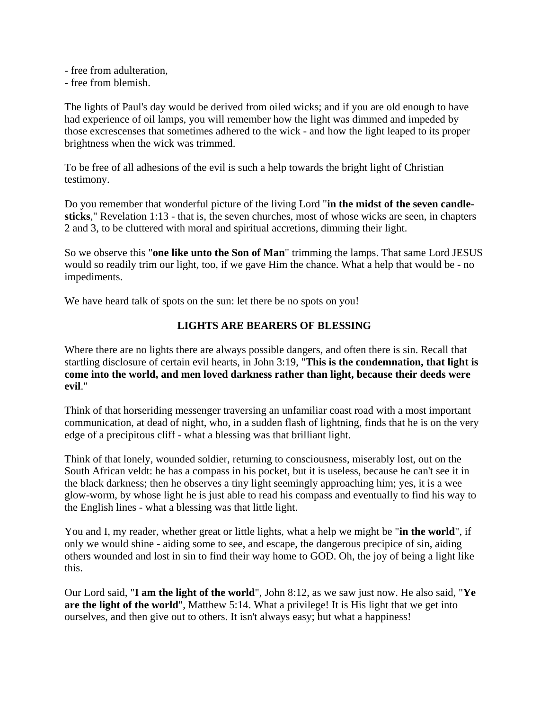- free from adulteration,
- free from blemish.

The lights of Paul's day would be derived from oiled wicks; and if you are old enough to have had experience of oil lamps, you will remember how the light was dimmed and impeded by those excrescenses that sometimes adhered to the wick - and how the light leaped to its proper brightness when the wick was trimmed.

To be free of all adhesions of the evil is such a help towards the bright light of Christian testimony.

Do you remember that wonderful picture of the living Lord "**in the midst of the seven candlesticks**," Revelation 1:13 - that is, the seven churches, most of whose wicks are seen, in chapters 2 and 3, to be cluttered with moral and spiritual accretions, dimming their light.

So we observe this "**one like unto the Son of Man**" trimming the lamps. That same Lord JESUS would so readily trim our light, too, if we gave Him the chance. What a help that would be - no impediments.

We have heard talk of spots on the sun: let there be no spots on you!

## **LIGHTS ARE BEARERS OF BLESSING**

Where there are no lights there are always possible dangers, and often there is sin. Recall that startling disclosure of certain evil hearts, in John 3:19, "**This is the condemnation, that light is come into the world, and men loved darkness rather than light, because their deeds were evil**."

Think of that horseriding messenger traversing an unfamiliar coast road with a most important communication, at dead of night, who, in a sudden flash of lightning, finds that he is on the very edge of a precipitous cliff - what a blessing was that brilliant light.

Think of that lonely, wounded soldier, returning to consciousness, miserably lost, out on the South African veldt: he has a compass in his pocket, but it is useless, because he can't see it in the black darkness; then he observes a tiny light seemingly approaching him; yes, it is a wee glow-worm, by whose light he is just able to read his compass and eventually to find his way to the English lines - what a blessing was that little light.

You and I, my reader, whether great or little lights, what a help we might be "**in the world**", if only we would shine - aiding some to see, and escape, the dangerous precipice of sin, aiding others wounded and lost in sin to find their way home to GOD. Oh, the joy of being a light like this.

Our Lord said, "**I am the light of the world**", John 8:12, as we saw just now. He also said, "**Ye are the light of the world**", Matthew 5:14. What a privilege! It is His light that we get into ourselves, and then give out to others. It isn't always easy; but what a happiness!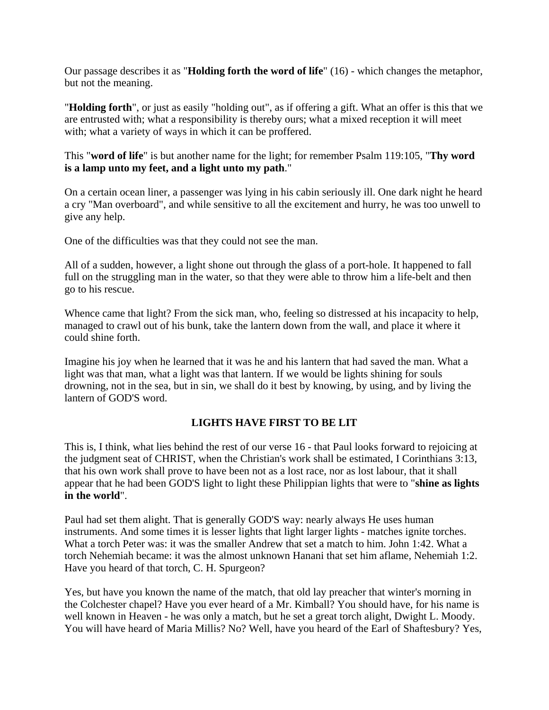Our passage describes it as "**Holding forth the word of life**" (16) - which changes the metaphor, but not the meaning.

"**Holding forth**", or just as easily "holding out", as if offering a gift. What an offer is this that we are entrusted with; what a responsibility is thereby ours; what a mixed reception it will meet with; what a variety of ways in which it can be proffered.

This "**word of life**" is but another name for the light; for remember Psalm 119:105, "**Thy word is a lamp unto my feet, and a light unto my path**."

On a certain ocean liner, a passenger was lying in his cabin seriously ill. One dark night he heard a cry "Man overboard", and while sensitive to all the excitement and hurry, he was too unwell to give any help.

One of the difficulties was that they could not see the man.

All of a sudden, however, a light shone out through the glass of a port-hole. It happened to fall full on the struggling man in the water, so that they were able to throw him a life-belt and then go to his rescue.

Whence came that light? From the sick man, who, feeling so distressed at his incapacity to help, managed to crawl out of his bunk, take the lantern down from the wall, and place it where it could shine forth.

Imagine his joy when he learned that it was he and his lantern that had saved the man. What a light was that man, what a light was that lantern. If we would be lights shining for souls drowning, not in the sea, but in sin, we shall do it best by knowing, by using, and by living the lantern of GOD'S word.

# **LIGHTS HAVE FIRST TO BE LIT**

This is, I think, what lies behind the rest of our verse 16 - that Paul looks forward to rejoicing at the judgment seat of CHRIST, when the Christian's work shall be estimated, I Corinthians 3:13, that his own work shall prove to have been not as a lost race, nor as lost labour, that it shall appear that he had been GOD'S light to light these Philippian lights that were to "**shine as lights in the world**".

Paul had set them alight. That is generally GOD'S way: nearly always He uses human instruments. And some times it is lesser lights that light larger lights - matches ignite torches. What a torch Peter was: it was the smaller Andrew that set a match to him. John 1:42. What a torch Nehemiah became: it was the almost unknown Hanani that set him aflame, Nehemiah 1:2. Have you heard of that torch, C. H. Spurgeon?

Yes, but have you known the name of the match, that old lay preacher that winter's morning in the Colchester chapel? Have you ever heard of a Mr. Kimball? You should have, for his name is well known in Heaven - he was only a match, but he set a great torch alight, Dwight L. Moody. You will have heard of Maria Millis? No? Well, have you heard of the Earl of Shaftesbury? Yes,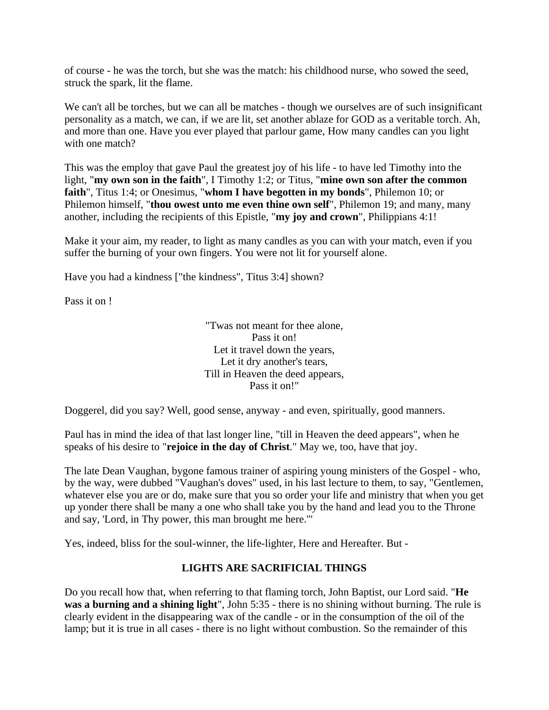of course - he was the torch, but she was the match: his childhood nurse, who sowed the seed, struck the spark, lit the flame.

We can't all be torches, but we can all be matches - though we ourselves are of such insignificant personality as a match, we can, if we are lit, set another ablaze for GOD as a veritable torch. Ah, and more than one. Have you ever played that parlour game, How many candles can you light with one match?

This was the employ that gave Paul the greatest joy of his life - to have led Timothy into the light, "**my own son in the faith**", I Timothy 1:2; or Titus, "**mine own son after the common faith**", Titus 1:4; or Onesimus, "**whom I have begotten in my bonds**", Philemon 10; or Philemon himself, "**thou owest unto me even thine own self**", Philemon 19; and many, many another, including the recipients of this Epistle, "**my joy and crown**", Philippians 4:1!

Make it your aim, my reader, to light as many candles as you can with your match, even if you suffer the burning of your own fingers. You were not lit for yourself alone.

Have you had a kindness ["the kindness", Titus 3:4] shown?

Pass it on !

"Twas not meant for thee alone, Pass it on! Let it travel down the years, Let it dry another's tears, Till in Heaven the deed appears, Pass it on!"

Doggerel, did you say? Well, good sense, anyway - and even, spiritually, good manners.

Paul has in mind the idea of that last longer line, "till in Heaven the deed appears", when he speaks of his desire to "**rejoice in the day of Christ**." May we, too, have that joy.

The late Dean Vaughan, bygone famous trainer of aspiring young ministers of the Gospel - who, by the way, were dubbed "Vaughan's doves" used, in his last lecture to them, to say, "Gentlemen, whatever else you are or do, make sure that you so order your life and ministry that when you get up yonder there shall be many a one who shall take you by the hand and lead you to the Throne and say, 'Lord, in Thy power, this man brought me here.'"

Yes, indeed, bliss for the soul-winner, the life-lighter, Here and Hereafter. But -

### **LIGHTS ARE SACRIFICIAL THINGS**

Do you recall how that, when referring to that flaming torch, John Baptist, our Lord said. "**He was a burning and a shining light**", John 5:35 - there is no shining without burning. The rule is clearly evident in the disappearing wax of the candle - or in the consumption of the oil of the lamp; but it is true in all cases - there is no light without combustion. So the remainder of this